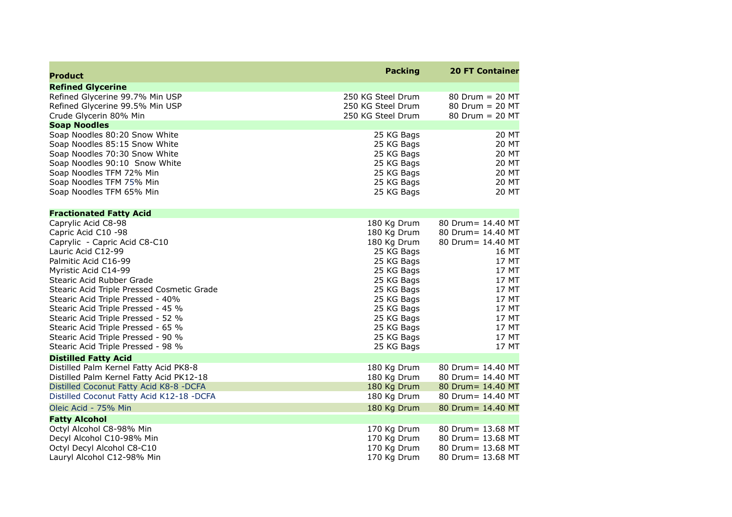| <b>Product</b>                                                           | <b>Packing</b>             | <b>20 FT Container</b>                 |
|--------------------------------------------------------------------------|----------------------------|----------------------------------------|
| <b>Refined Glycerine</b>                                                 |                            |                                        |
| Refined Glycerine 99.7% Min USP                                          | 250 KG Steel Drum          | $80$ Drum = 20 MT                      |
| Refined Glycerine 99.5% Min USP                                          | 250 KG Steel Drum          | 80 Drum = 20 MT                        |
| Crude Glycerin 80% Min                                                   | 250 KG Steel Drum          | 80 Drum = 20 MT                        |
| <b>Soap Noodles</b>                                                      |                            |                                        |
| Soap Noodles 80:20 Snow White                                            | 25 KG Bags                 | 20 MT                                  |
| Soap Noodles 85:15 Snow White                                            | 25 KG Bags                 | 20 MT                                  |
| Soap Noodles 70:30 Snow White                                            | 25 KG Bags                 | <b>20 MT</b>                           |
| Soap Noodles 90:10 Snow White                                            | 25 KG Bags                 | 20 MT                                  |
| Soap Noodles TFM 72% Min                                                 | 25 KG Bags                 | 20 MT                                  |
| Soap Noodles TFM 75% Min                                                 | 25 KG Bags                 | 20 MT                                  |
| Soap Noodles TFM 65% Min                                                 | 25 KG Bags                 | 20 MT                                  |
| <b>Fractionated Fatty Acid</b>                                           |                            |                                        |
| Caprylic Acid C8-98                                                      | 180 Kg Drum                | 80 Drum= 14.40 MT                      |
| Capric Acid C10 -98                                                      | 180 Kg Drum                | 80 Drum= 14.40 MT                      |
| Caprylic - Capric Acid C8-C10                                            | 180 Kg Drum                | 80 Drum= 14.40 MT                      |
| Lauric Acid C12-99                                                       | 25 KG Bags                 | 16 MT                                  |
| Palmitic Acid C16-99                                                     | 25 KG Bags                 | 17 MT                                  |
| Myristic Acid C14-99                                                     | 25 KG Bags                 | 17 MT                                  |
| Stearic Acid Rubber Grade                                                | 25 KG Bags                 | 17 MT                                  |
| Stearic Acid Triple Pressed Cosmetic Grade                               | 25 KG Bags                 | 17 MT                                  |
| Stearic Acid Triple Pressed - 40%                                        | 25 KG Bags                 | 17 MT                                  |
| Stearic Acid Triple Pressed - 45 %                                       | 25 KG Bags                 | 17 MT                                  |
| Stearic Acid Triple Pressed - 52 %                                       | 25 KG Bags                 | 17 MT                                  |
| Stearic Acid Triple Pressed - 65 %                                       | 25 KG Bags                 | 17 MT                                  |
| Stearic Acid Triple Pressed - 90 %<br>Stearic Acid Triple Pressed - 98 % | 25 KG Bags<br>25 KG Bags   | 17 MT<br>17 MT                         |
|                                                                          |                            |                                        |
| <b>Distilled Fatty Acid</b>                                              |                            |                                        |
| Distilled Palm Kernel Fatty Acid PK8-8                                   | 180 Kg Drum                | 80 Drum= 14.40 MT                      |
| Distilled Palm Kernel Fatty Acid PK12-18                                 | 180 Kg Drum                | 80 Drum= 14.40 MT                      |
| Distilled Coconut Fatty Acid K8-8 -DCFA                                  | 180 Kg Drum<br>180 Kg Drum | 80 Drum= 14.40 MT<br>80 Drum= 14.40 MT |
| Distilled Coconut Fatty Acid K12-18 -DCFA                                |                            |                                        |
| Oleic Acid - 75% Min                                                     | 180 Kg Drum                | 80 Drum= 14.40 MT                      |
| <b>Fatty Alcohol</b>                                                     |                            |                                        |
| Octyl Alcohol C8-98% Min                                                 | 170 Kg Drum                | 80 Drum= 13.68 MT                      |
| Decyl Alcohol C10-98% Min                                                | 170 Kg Drum                | 80 Drum= 13.68 MT                      |
| Octyl Decyl Alcohol C8-C10                                               | 170 Kg Drum                | 80 Drum= 13.68 MT                      |
| Lauryl Alcohol C12-98% Min                                               | 170 Kg Drum                | 80 Drum= 13.68 MT                      |